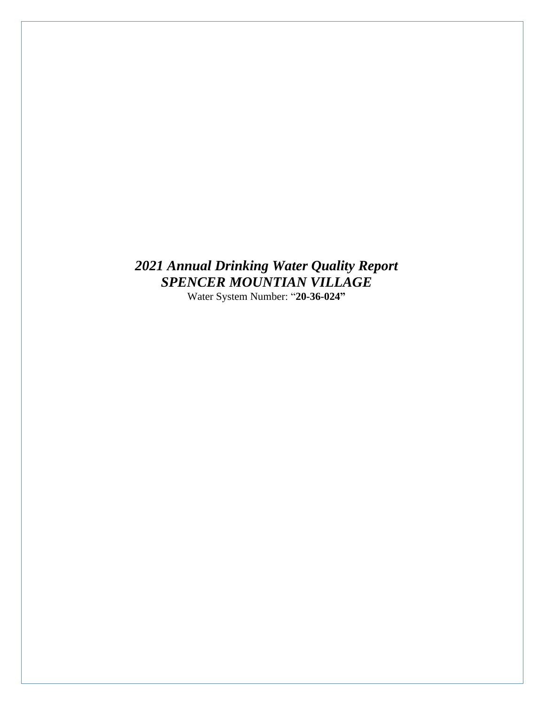*2021 Annual Drinking Water Quality Report SPENCER MOUNTIAN VILLAGE* Water System Number: "**20-36-024"**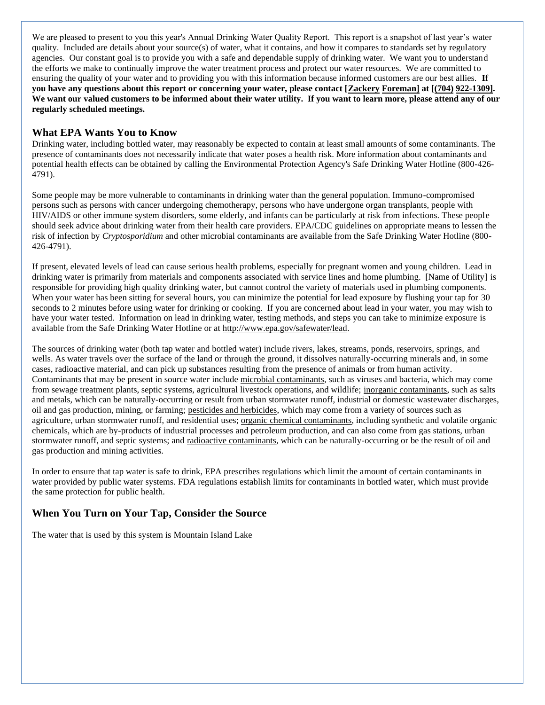We are pleased to present to you this year's Annual Drinking Water Quality Report. This report is a snapshot of last year's water quality. Included are details about your source(s) of water, what it contains, and how it compares to standards set by regulatory agencies. Our constant goal is to provide you with a safe and dependable supply of drinking water. We want you to understand the efforts we make to continually improve the water treatment process and protect our water resources. We are committed to ensuring the quality of your water and to providing you with this information because informed customers are our best allies. **If you have any questions about this report or concerning your water, please contact [Zackery Foreman] at [(704) 922-1309]. We want our valued customers to be informed about their water utility. If you want to learn more, please attend any of our regularly scheduled meetings.** 

## **What EPA Wants You to Know**

Drinking water, including bottled water, may reasonably be expected to contain at least small amounts of some contaminants. The presence of contaminants does not necessarily indicate that water poses a health risk. More information about contaminants and potential health effects can be obtained by calling the Environmental Protection Agency's Safe Drinking Water Hotline (800-426- 4791).

Some people may be more vulnerable to contaminants in drinking water than the general population. Immuno-compromised persons such as persons with cancer undergoing chemotherapy, persons who have undergone organ transplants, people with HIV/AIDS or other immune system disorders, some elderly, and infants can be particularly at risk from infections. These people should seek advice about drinking water from their health care providers. EPA/CDC guidelines on appropriate means to lessen the risk of infection by *Cryptosporidium* and other microbial contaminants are available from the Safe Drinking Water Hotline (800- 426-4791).

If present, elevated levels of lead can cause serious health problems, especially for pregnant women and young children. Lead in drinking water is primarily from materials and components associated with service lines and home plumbing. [Name of Utility] is responsible for providing high quality drinking water, but cannot control the variety of materials used in plumbing components. When your water has been sitting for several hours, you can minimize the potential for lead exposure by flushing your tap for 30 seconds to 2 minutes before using water for drinking or cooking. If you are concerned about lead in your water, you may wish to have your water tested. Information on lead in drinking water, testing methods, and steps you can take to minimize exposure is available from the Safe Drinking Water Hotline or at [http://www.epa.gov/safewater/lead.](http://www.epa.gov/safewater/lead)

The sources of drinking water (both tap water and bottled water) include rivers, lakes, streams, ponds, reservoirs, springs, and wells. As water travels over the surface of the land or through the ground, it dissolves naturally-occurring minerals and, in some cases, radioactive material, and can pick up substances resulting from the presence of animals or from human activity. Contaminants that may be present in source water include microbial contaminants, such as viruses and bacteria, which may come from sewage treatment plants, septic systems, agricultural livestock operations, and wildlife; inorganic contaminants, such as salts and metals, which can be naturally-occurring or result from urban stormwater runoff, industrial or domestic wastewater discharges, oil and gas production, mining, or farming; pesticides and herbicides, which may come from a variety of sources such as agriculture, urban stormwater runoff, and residential uses; organic chemical contaminants, including synthetic and volatile organic chemicals, which are by-products of industrial processes and petroleum production, and can also come from gas stations, urban stormwater runoff, and septic systems; and radioactive contaminants, which can be naturally-occurring or be the result of oil and gas production and mining activities.

In order to ensure that tap water is safe to drink, EPA prescribes regulations which limit the amount of certain contaminants in water provided by public water systems. FDA regulations establish limits for contaminants in bottled water, which must provide the same protection for public health.

# **When You Turn on Your Tap, Consider the Source**

The water that is used by this system is Mountain Island Lake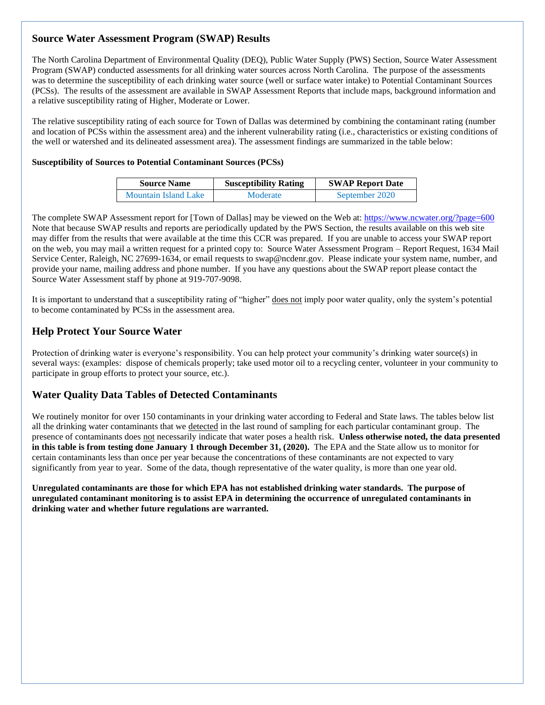# **Source Water Assessment Program (SWAP) Results**

The North Carolina Department of Environmental Quality (DEQ), Public Water Supply (PWS) Section, Source Water Assessment Program (SWAP) conducted assessments for all drinking water sources across North Carolina. The purpose of the assessments was to determine the susceptibility of each drinking water source (well or surface water intake) to Potential Contaminant Sources (PCSs). The results of the assessment are available in SWAP Assessment Reports that include maps, background information and a relative susceptibility rating of Higher, Moderate or Lower.

The relative susceptibility rating of each source for Town of Dallas was determined by combining the contaminant rating (number and location of PCSs within the assessment area) and the inherent vulnerability rating (i.e., characteristics or existing conditions of the well or watershed and its delineated assessment area). The assessment findings are summarized in the table below:

### **Susceptibility of Sources to Potential Contaminant Sources (PCSs)**

| <b>Source Name</b>          | <b>Susceptibility Rating</b> | <b>SWAP Report Date</b> |  |  |
|-----------------------------|------------------------------|-------------------------|--|--|
| <b>Mountain Island Lake</b> | Moderate                     | September 2020          |  |  |

The complete SWAP Assessment report for [Town of Dallas] may be viewed on the Web at:<https://www.ncwater.org/?page=600> Note that because SWAP results and reports are periodically updated by the PWS Section, the results available on this web site may differ from the results that were available at the time this CCR was prepared. If you are unable to access your SWAP report on the web, you may mail a written request for a printed copy to: Source Water Assessment Program – Report Request, 1634 Mail Service Center, Raleigh, NC 27699-1634, or email requests to swap@ncdenr.gov. Please indicate your system name, number, and provide your name, mailing address and phone number. If you have any questions about the SWAP report please contact the Source Water Assessment staff by phone at 919-707-9098.

It is important to understand that a susceptibility rating of "higher" does not imply poor water quality, only the system's potential to become contaminated by PCSs in the assessment area.

# **Help Protect Your Source Water**

Protection of drinking water is everyone's responsibility. You can help protect your community's drinking water source(s) in several ways: (examples: dispose of chemicals properly; take used motor oil to a recycling center, volunteer in your community to participate in group efforts to protect your source, etc.).

# **Water Quality Data Tables of Detected Contaminants**

We routinely monitor for over 150 contaminants in your drinking water according to Federal and State laws. The tables below list all the drinking water contaminants that we detected in the last round of sampling for each particular contaminant group. The presence of contaminants does not necessarily indicate that water poses a health risk. **Unless otherwise noted, the data presented in this table is from testing done January 1 through December 31, (2020).** The EPA and the State allow us to monitor for certain contaminants less than once per year because the concentrations of these contaminants are not expected to vary significantly from year to year. Some of the data, though representative of the water quality, is more than one year old.

**Unregulated contaminants are those for which EPA has not established drinking water standards. The purpose of unregulated contaminant monitoring is to assist EPA in determining the occurrence of unregulated contaminants in drinking water and whether future regulations are warranted.**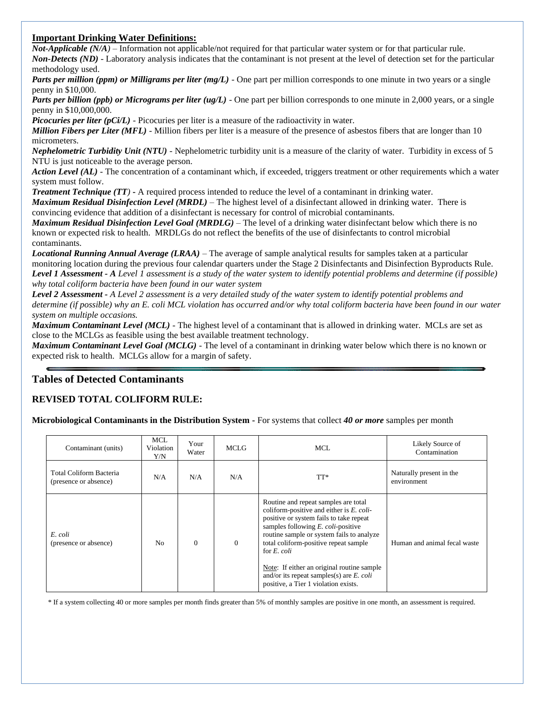## **Important Drinking Water Definitions:**

*Not-Applicable (N/A)* – Information not applicable/not required for that particular water system or for that particular rule. *Non-Detects (ND)* - Laboratory analysis indicates that the contaminant is not present at the level of detection set for the particular methodology used.

*Parts per million (ppm) or Milligrams per liter (mg/L)* - One part per million corresponds to one minute in two years or a single penny in \$10,000.

*Parts per billion (ppb) or Micrograms per liter (ug/L)* - One part per billion corresponds to one minute in 2,000 years, or a single penny in \$10,000,000.

*Picocuries per liter (pCi/L)* - Picocuries per liter is a measure of the radioactivity in water.

*Million Fibers per Liter (MFL)* - Million fibers per liter is a measure of the presence of asbestos fibers that are longer than 10 micrometers.

*Nephelometric Turbidity Unit (NTU)* - Nephelometric turbidity unit is a measure of the clarity of water. Turbidity in excess of 5 NTU is just noticeable to the average person.

*Action Level (AL) -* The concentration of a contaminant which, if exceeded, triggers treatment or other requirements which a water system must follow.

*Treatment Technique (TT)* **-** A required process intended to reduce the level of a contaminant in drinking water.

*Maximum Residual Disinfection Level (MRDL)* – The highest level of a disinfectant allowed in drinking water. There is convincing evidence that addition of a disinfectant is necessary for control of microbial contaminants.

*Maximum Residual Disinfection Level Goal (MRDLG)* – The level of a drinking water disinfectant below which there is no known or expected risk to health. MRDLGs do not reflect the benefits of the use of disinfectants to control microbial contaminants.

*Locational Running Annual Average (LRAA)* – The average of sample analytical results for samples taken at a particular monitoring location during the previous four calendar quarters under the Stage 2 Disinfectants and Disinfection Byproducts Rule. *Level 1 Assessment - A Level 1 assessment is a study of the water system to identify potential problems and determine (if possible) why total coliform bacteria have been found in our water system*

*Level 2 Assessment - A Level 2 assessment is a very detailed study of the water system to identify potential problems and determine (if possible) why an E. coli MCL violation has occurred and/or why total coliform bacteria have been found in our water system on multiple occasions.*

*Maximum Contaminant Level (MCL)* - The highest level of a contaminant that is allowed in drinking water. MCLs are set as close to the MCLGs as feasible using the best available treatment technology.

*Maximum Contaminant Level Goal (MCLG)* - The level of a contaminant in drinking water below which there is no known or expected risk to health. MCLGs allow for a margin of safety.

# **Tables of Detected Contaminants**

# **REVISED TOTAL COLIFORM RULE:**

**Microbiological Contaminants in the Distribution System -** For systems that collect *40 or more* samples per month

| Contaminant (units)                              | <b>MCL</b><br>Violation<br>Y/N | Your<br>Water | <b>MCLG</b>  | MCL.                                                                                                                                                                                                                                                                                                                                                                                                              | Likely Source of<br>Contamination       |
|--------------------------------------------------|--------------------------------|---------------|--------------|-------------------------------------------------------------------------------------------------------------------------------------------------------------------------------------------------------------------------------------------------------------------------------------------------------------------------------------------------------------------------------------------------------------------|-----------------------------------------|
| Total Coliform Bacteria<br>(presence or absence) | N/A                            | N/A           | N/A          | TT*                                                                                                                                                                                                                                                                                                                                                                                                               | Naturally present in the<br>environment |
| E. coli<br>(presence or absence)                 | No.                            | $\Omega$      | $\mathbf{0}$ | Routine and repeat samples are total<br>coliform-positive and either is E. coli-<br>positive or system fails to take repeat<br>samples following $E$ . coli-positive<br>routine sample or system fails to analyze<br>total coliform-positive repeat sample<br>for $E$ , coli<br>Note: If either an original routine sample<br>and/or its repeat samples(s) are $E$ . coli<br>positive, a Tier 1 violation exists. | Human and animal fecal waste            |

\* If a system collecting 40 or more samples per month finds greater than 5% of monthly samples are positive in one month, an assessment is required.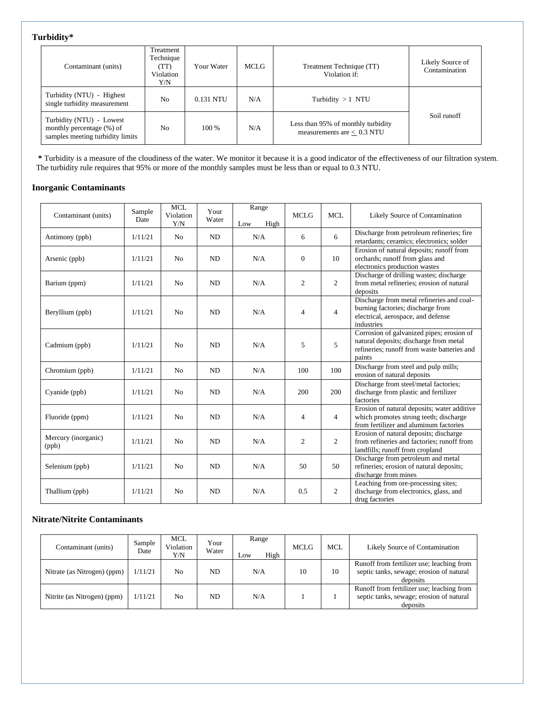### **Turbidity\***

| Contaminant (units)                                                                       | Treatment<br>Technique<br>(TT)<br>Violation<br>Y/N | Your Water       | <b>MCLG</b> | Treatment Technique (TT)<br>Violation if:                          | Likely Source of<br>Contamination |
|-------------------------------------------------------------------------------------------|----------------------------------------------------|------------------|-------------|--------------------------------------------------------------------|-----------------------------------|
| Turbidity (NTU) - Highest<br>N <sub>o</sub><br>single turbidity measurement               |                                                    | 0.131 NTU<br>N/A |             | Turbidity $>1$ NTU                                                 |                                   |
| Turbidity (NTU) - Lowest<br>monthly percentage (%) of<br>samples meeting turbidity limits | N <sub>o</sub>                                     | $100\%$          | N/A         | Less than 95% of monthly turbidity<br>measurements are $< 0.3$ NTU | Soil runoff                       |

**\*** Turbidity is a measure of the cloudiness of the water. We monitor it because it is a good indicator of the effectiveness of our filtration system. The turbidity rule requires that 95% or more of the monthly samples must be less than or equal to 0.3 NTU.

#### **Inorganic Contaminants**

| Contaminant (units)          | Sample  | <b>MCL</b><br>Range<br>Your<br>Violation | <b>MCLG</b><br><b>MCL</b> |             |                |                |                                                                                                                                              |
|------------------------------|---------|------------------------------------------|---------------------------|-------------|----------------|----------------|----------------------------------------------------------------------------------------------------------------------------------------------|
|                              | Date    | Y/N                                      | Water                     | High<br>Low |                |                | Likely Source of Contamination                                                                                                               |
| Antimony (ppb)               | 1/11/21 | N <sub>o</sub>                           | ND                        | N/A         | 6              | 6              | Discharge from petroleum refineries; fire<br>retardants; ceramics; electronics; solder                                                       |
| Arsenic (ppb)                | 1/11/21 | N <sub>o</sub>                           | <b>ND</b>                 | N/A         | $\mathbf{0}$   | 10             | Erosion of natural deposits; runoff from<br>orchards; runoff from glass and<br>electronics production wastes                                 |
| Barium (ppm)                 | 1/11/21 | No                                       | ND                        | N/A         | $\overline{c}$ | $\overline{2}$ | Discharge of drilling wastes; discharge<br>from metal refineries; erosion of natural<br>deposits                                             |
| Beryllium (ppb)              | 1/11/21 | N <sub>o</sub>                           | ND                        | N/A         | $\overline{4}$ | $\overline{4}$ | Discharge from metal refineries and coal-<br>burning factories; discharge from<br>electrical, aerospace, and defense<br>industries           |
| Cadmium (ppb)                | 1/11/21 | N <sub>0</sub>                           | ND                        | N/A         | 5              | 5              | Corrosion of galvanized pipes; erosion of<br>natural deposits; discharge from metal<br>refineries; runoff from waste batteries and<br>paints |
| Chromium (ppb)               | 1/11/21 | No                                       | ND                        | N/A         | 100            | 100            | Discharge from steel and pulp mills;<br>erosion of natural deposits                                                                          |
| Cyanide (ppb)                | 1/11/21 | N <sub>0</sub>                           | <b>ND</b>                 | N/A         | 200            | 200            | Discharge from steel/metal factories;<br>discharge from plastic and fertilizer<br>factories                                                  |
| Fluoride (ppm)               | 1/11/21 | N <sub>o</sub>                           | ND                        | N/A         | $\overline{4}$ | $\overline{4}$ | Erosion of natural deposits; water additive<br>which promotes strong teeth; discharge<br>from fertilizer and aluminum factories              |
| Mercury (inorganic)<br>(ppb) | 1/11/21 | N <sub>o</sub>                           | ND                        | N/A         | $\overline{c}$ | 2              | Erosion of natural deposits; discharge<br>from refineries and factories; runoff from<br>landfills; runoff from cropland                      |
| Selenium (ppb)               | 1/11/21 | N <sub>o</sub>                           | ND                        | N/A         | 50             | 50             | Discharge from petroleum and metal<br>refineries; erosion of natural deposits;<br>discharge from mines                                       |
| Thallium (ppb)               | 1/11/21 | N <sub>o</sub>                           | ND                        | N/A         | 0.5            | $\overline{2}$ | Leaching from ore-processing sites;<br>discharge from electronics, glass, and<br>drug factories                                              |

### **Nitrate/Nitrite Contaminants**

| Contaminant (units)         | Sample<br>Date | MCL<br>Violation<br>Y/N | Your<br>Water | Range<br>High<br>Low | <b>MCLG</b> | MCL | Likely Source of Contamination                                                                    |
|-----------------------------|----------------|-------------------------|---------------|----------------------|-------------|-----|---------------------------------------------------------------------------------------------------|
| Nitrate (as Nitrogen) (ppm) | 1/11/21        | No                      | ND            | N/A                  | 10          | 10  | Runoff from fertilizer use; leaching from<br>septic tanks, sewage; erosion of natural<br>deposits |
| Nitrite (as Nitrogen) (ppm) | 1/11/21        | No.                     | ND.           | N/A                  |             |     | Runoff from fertilizer use; leaching from<br>septic tanks, sewage; erosion of natural<br>deposits |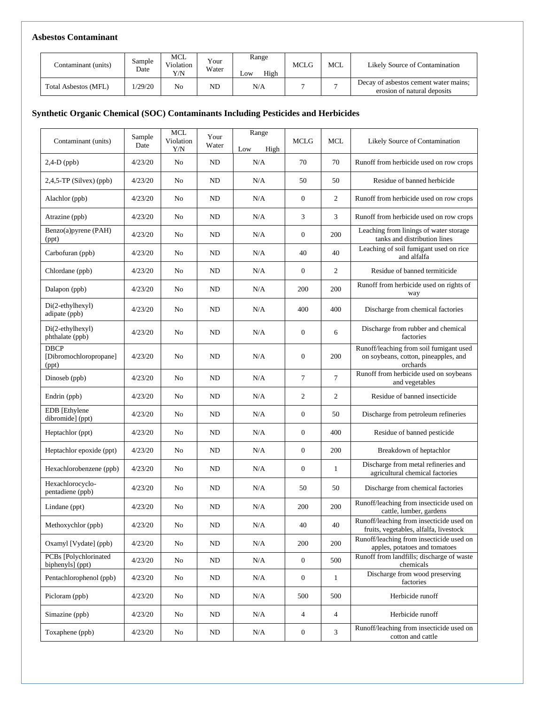## **Asbestos Contaminant**

| Contaminant (units)         | Sample<br>Date | <b>MCL</b><br>Violation<br>Y/N | Your<br>Water | Range<br>High<br>LOW | <b>MCLG</b> | <b>MCL</b> | Likely Source of Contamination                                       |
|-----------------------------|----------------|--------------------------------|---------------|----------------------|-------------|------------|----------------------------------------------------------------------|
| <b>Total Asbestos (MFL)</b> | /29/20         | No                             | ND            | N/A                  |             |            | Decay of asbestos cement water mains;<br>erosion of natural deposits |

# **Synthetic Organic Chemical (SOC) Contaminants Including Pesticides and Herbicides**

|                                                |                | MCL              |               |                      |                  |                |                                                                                             |
|------------------------------------------------|----------------|------------------|---------------|----------------------|------------------|----------------|---------------------------------------------------------------------------------------------|
| Contaminant (units)                            | Sample<br>Date | Violation<br>Y/N | Your<br>Water | Range<br>Low<br>High | <b>MCLG</b>      | <b>MCL</b>     | Likely Source of Contamination                                                              |
| $2,4-D$ (ppb)                                  | 4/23/20        | No               | ND            | N/A                  | 70               | 70             | Runoff from herbicide used on row crops                                                     |
| $2,4,5$ -TP (Silvex) (ppb)                     | 4/23/20        | N <sub>0</sub>   | <b>ND</b>     | N/A                  | 50               | 50             | Residue of banned herbicide                                                                 |
| Alachlor (ppb)                                 | 4/23/20        | No               | ND            | N/A                  | $\boldsymbol{0}$ | 2              | Runoff from herbicide used on row crops                                                     |
| Atrazine (ppb)                                 | 4/23/20        | No               | ND            | N/A                  | 3                | 3              | Runoff from herbicide used on row crops                                                     |
| Benzo(a)pyrene (PAH)<br>(ppt)                  | 4/23/20        | N <sub>0</sub>   | <b>ND</b>     | N/A                  | $\boldsymbol{0}$ | 200            | Leaching from linings of water storage<br>tanks and distribution lines                      |
| Carbofuran (ppb)                               | 4/23/20        | No               | <b>ND</b>     | N/A                  | 40               | 40             | Leaching of soil fumigant used on rice<br>and alfalfa                                       |
| Chlordane (ppb)                                | 4/23/20        | No               | ND            | N/A                  | $\boldsymbol{0}$ | $\overline{c}$ | Residue of banned termiticide                                                               |
| Dalapon (ppb)                                  | 4/23/20        | No               | ND            | N/A                  | 200              | 200            | Runoff from herbicide used on rights of<br>way                                              |
| $Di(2-ethylhexyl)$<br>adipate (ppb)            | 4/23/20        | No               | ND            | N/A                  | 400              | 400            | Discharge from chemical factories                                                           |
| Di(2-ethylhexyl)<br>phthalate (ppb)            | 4/23/20        | No               | ND            | N/A                  | $\boldsymbol{0}$ | 6              | Discharge from rubber and chemical<br>factories                                             |
| <b>DBCP</b><br>[Dibromochloropropane]<br>(ppt) | 4/23/20        | No               | ND            | N/A                  | $\boldsymbol{0}$ | 200            | Runoff/leaching from soil fumigant used<br>on soybeans, cotton, pineapples, and<br>orchards |
| Dinoseb (ppb)                                  | 4/23/20        | No               | ND            | N/A                  | $\tau$           | $\overline{7}$ | Runoff from herbicide used on soybeans<br>and vegetables                                    |
| Endrin (ppb)                                   | 4/23/20        | No               | <b>ND</b>     | N/A                  | $\mathfrak{2}$   | $\overline{c}$ | Residue of banned insecticide                                                               |
| EDB [Ethylene<br>dibromide] (ppt)              | 4/23/20        | No               | ND            | N/A                  | $\boldsymbol{0}$ | 50             | Discharge from petroleum refineries                                                         |
| Heptachlor (ppt)                               | 4/23/20        | No               | ND            | N/A                  | $\boldsymbol{0}$ | 400            | Residue of banned pesticide                                                                 |
| Heptachlor epoxide (ppt)                       | 4/23/20        | N <sub>0</sub>   | ND            | N/A                  | $\boldsymbol{0}$ | 200            | Breakdown of heptachlor                                                                     |
| Hexachlorobenzene (ppb)                        | 4/23/20        | No               | ND            | N/A                  | $\boldsymbol{0}$ | $\mathbf{1}$   | Discharge from metal refineries and<br>agricultural chemical factories                      |
| Hexachlorocyclo-<br>pentadiene (ppb)           | 4/23/20        | No               | ND            | N/A                  | 50               | 50             | Discharge from chemical factories                                                           |
| Lindane (ppt)                                  | 4/23/20        | No               | ND            | N/A                  | 200              | 200            | Runoff/leaching from insecticide used on<br>cattle, lumber, gardens                         |
| Methoxychlor (ppb)                             | 4/23/20        | No               | ND            | N/A                  | 40               | 40             | Runoff/leaching from insecticide used on<br>fruits, vegetables, alfalfa, livestock          |
| Oxamyl [Vydate] (ppb)                          | 4/23/20        | No               | ND            | N/A                  | 200              | 200            | Runoff/leaching from insecticide used on<br>apples, potatoes and tomatoes                   |
| PCBs [Polychlorinated<br>biphenyls] (ppt)      | 4/23/20        | No               | $\rm ND$      | N/A                  | $\boldsymbol{0}$ | 500            | Runoff from landfills; discharge of waste<br>chemicals                                      |
| Pentachlorophenol (ppb)                        | 4/23/20        | No               | ND            | N/A                  | $\boldsymbol{0}$ | $\mathbf{1}$   | Discharge from wood preserving<br>factories                                                 |
| Picloram (ppb)                                 | 4/23/20        | No               | ND            | N/A                  | 500              | 500            | Herbicide runoff                                                                            |
| Simazine (ppb)                                 | 4/23/20        | No               | ND            | N/A                  | 4                | $\overline{4}$ | Herbicide runoff                                                                            |
| Toxaphene (ppb)                                | 4/23/20        | No               | ND            | N/A                  | $\boldsymbol{0}$ | 3              | Runoff/leaching from insecticide used on<br>cotton and cattle                               |
|                                                |                |                  |               |                      |                  |                |                                                                                             |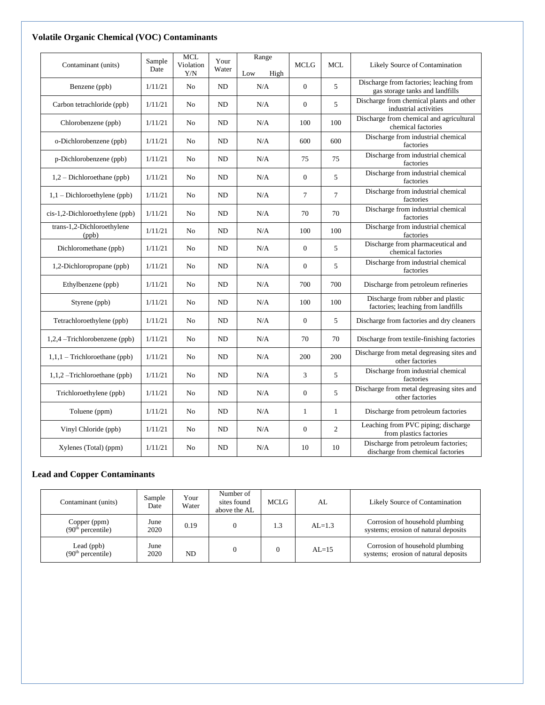# **Volatile Organic Chemical (VOC) Contaminants**

| Contaminant (units)                 | Sample<br>Date | $\rm MCL$<br>Violation<br>Y/N | Your<br>Water  | Range<br>Low<br>High | <b>MCLG</b>      | <b>MCL</b>     | Likely Source of Contamination                                             |
|-------------------------------------|----------------|-------------------------------|----------------|----------------------|------------------|----------------|----------------------------------------------------------------------------|
| Benzene (ppb)                       | 1/11/21        | No                            | N <sub>D</sub> | N/A                  | $\overline{0}$   | 5              | Discharge from factories; leaching from<br>gas storage tanks and landfills |
| Carbon tetrachloride (ppb)          | 1/11/21        | No                            | N <sub>D</sub> | N/A                  | $\overline{0}$   | 5              | Discharge from chemical plants and other<br>industrial activities          |
| Chlorobenzene (ppb)                 | 1/11/21        | No                            | ND             | N/A                  | 100              | 100            | Discharge from chemical and agricultural<br>chemical factories             |
| o-Dichlorobenzene (ppb)             | 1/11/21        | No                            | ND             | N/A                  | 600              | 600            | Discharge from industrial chemical<br>factories                            |
| p-Dichlorobenzene (ppb)             | 1/11/21        | No                            | N <sub>D</sub> | N/A                  | 75               | 75             | Discharge from industrial chemical<br>factories                            |
| $1,2$ – Dichloroethane (ppb)        | 1/11/21        | No                            | N <sub>D</sub> | N/A                  | $\overline{0}$   | 5              | Discharge from industrial chemical<br>factories                            |
| $1,1$ – Dichloroethylene (ppb)      | 1/11/21        | No                            | N <sub>D</sub> | N/A                  | $\overline{7}$   | 7              | Discharge from industrial chemical<br>factories                            |
| cis-1,2-Dichloroethylene (ppb)      | 1/11/21        | No                            | ND             | N/A                  | 70               | 70             | Discharge from industrial chemical<br>factories                            |
| trans-1,2-Dichloroethylene<br>(ppb) | 1/11/21        | No                            | ND             | N/A                  | 100              | 100            | Discharge from industrial chemical<br>factories                            |
| Dichloromethane (ppb)               | 1/11/21        | No                            | N <sub>D</sub> | N/A                  | $\overline{0}$   | 5              | Discharge from pharmaceutical and<br>chemical factories                    |
| 1,2-Dichloropropane (ppb)           | 1/11/21        | No                            | N <sub>D</sub> | N/A                  | $\overline{0}$   | 5              | Discharge from industrial chemical<br>factories                            |
| Ethylbenzene (ppb)                  | 1/11/21        | No                            | ND             | N/A                  | 700              | 700            | Discharge from petroleum refineries                                        |
| Styrene (ppb)                       | 1/11/21        | No                            | ND             | N/A                  | 100              | 100            | Discharge from rubber and plastic<br>factories; leaching from landfills    |
| Tetrachloroethylene (ppb)           | 1/11/21        | No                            | ND             | N/A                  | $\boldsymbol{0}$ | 5              | Discharge from factories and dry cleaners                                  |
| $1,2,4$ –Trichlorobenzene (ppb)     | 1/11/21        | No                            | N <sub>D</sub> | N/A                  | 70               | 70             | Discharge from textile-finishing factories                                 |
| $1,1,1$ – Trichloroethane (ppb)     | 1/11/21        | No                            | N <sub>D</sub> | N/A                  | 200              | 200            | Discharge from metal degreasing sites and<br>other factories               |
| $1,1,2$ –Trichloroethane (ppb)      | 1/11/21        | No                            | ND             | N/A                  | 3                | 5              | Discharge from industrial chemical<br>factories                            |
| Trichloroethylene (ppb)             | 1/11/21        | No                            | N <sub>D</sub> | N/A                  | $\overline{0}$   | 5              | Discharge from metal degreasing sites and<br>other factories               |
| Toluene (ppm)                       | 1/11/21        | No                            | ND             | N/A                  | $\mathbf{1}$     | $\mathbf{1}$   | Discharge from petroleum factories                                         |
| Vinyl Chloride (ppb)                | 1/11/21        | No                            | N <sub>D</sub> | N/A                  | $\overline{0}$   | $\overline{c}$ | Leaching from PVC piping; discharge<br>from plastics factories             |
| Xylenes (Total) (ppm)               | 1/11/21        | No                            | N <sub>D</sub> | N/A                  | 10               | 10             | Discharge from petroleum factories;<br>discharge from chemical factories   |

## **Lead and Copper Contaminants**

| Contaminant (units)                           | Sample<br>Date | Your<br>Water | Number of<br>sites found<br>above the AL | MCLG | AL       | Likely Source of Contamination                                          |
|-----------------------------------------------|----------------|---------------|------------------------------------------|------|----------|-------------------------------------------------------------------------|
| Copper (ppm)<br>(90 <sup>th</sup> percentile) | June<br>2020   | 0.19          |                                          | 1.3  | $AL=1.3$ | Corrosion of household plumbing<br>systems; erosion of natural deposits |
| Lead $(ppb)$<br>(90 <sup>th</sup> percentile) | June<br>2020   | ND.           |                                          |      | $AL=15$  | Corrosion of household plumbing<br>systems; erosion of natural deposits |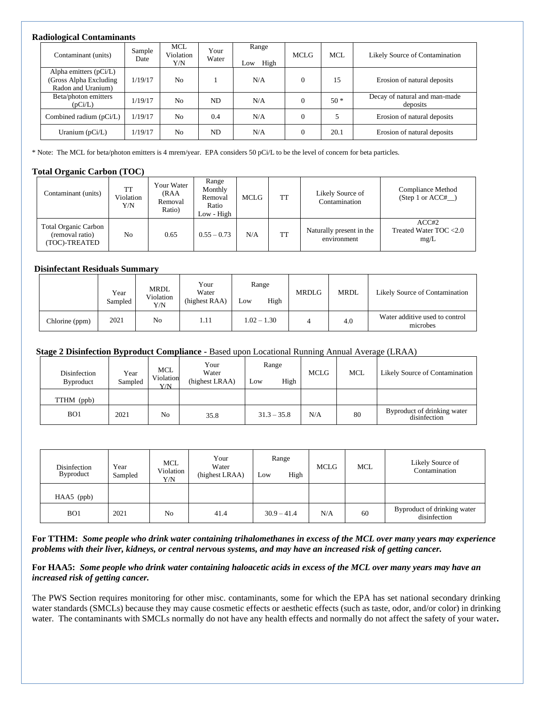### **Radiological Contaminants**

| Contaminant (units)                                                      | Sample<br>Date | <b>MCL</b><br>Violation<br>Y/N | Your<br>Water | Range<br>High<br>Low | <b>MCLG</b> | <b>MCL</b> | Likely Source of Contamination            |
|--------------------------------------------------------------------------|----------------|--------------------------------|---------------|----------------------|-------------|------------|-------------------------------------------|
| Alpha emitters $(pCi/L)$<br>(Gross Alpha Excluding<br>Radon and Uranium) | 1/19/17        | N <sub>o</sub>                 |               | N/A                  |             | 15         | Erosion of natural deposits               |
| Beta/photon emitters<br>(pCi/L)                                          | 1/19/17        | N <sub>o</sub>                 | ND            | N/A                  |             | $50*$      | Decay of natural and man-made<br>deposits |
| Combined radium (pCi/L)                                                  | 1/19/17        | No                             | 0.4           | N/A                  |             |            | Erosion of natural deposits               |
| Uranium $(pCi/L)$                                                        | 1/19/17        | No.                            | ND.           | N/A                  |             | 20.1       | Erosion of natural deposits               |

\* Note: The MCL for beta/photon emitters is 4 mrem/year. EPA considers 50 pCi/L to be the level of concern for beta particles.

### **Total Organic Carbon (TOC)**

| Contaminant (units)                                            | <b>TT</b><br>Violation<br>Y/N | Your Water<br>(RAA<br>Removal<br>Ratio) | Range<br>Monthly<br>Removal<br>Ratio<br>Low - High | <b>MCLG</b> | <b>TT</b> | Likely Source of<br>Contamination       | Compliance Method<br>(Step 1 or $ACC#$ ) |
|----------------------------------------------------------------|-------------------------------|-----------------------------------------|----------------------------------------------------|-------------|-----------|-----------------------------------------|------------------------------------------|
| <b>Total Organic Carbon</b><br>(removal ratio)<br>TOC)-TREATED | No                            | 0.65                                    | $0.55 - 0.73$                                      | N/A         | TT        | Naturally present in the<br>environment | ACC#2<br>Treated Water TOC <2.0<br>mg/L  |

## **Disinfectant Residuals Summary**

|                | Year<br>Sampled | MRDL<br>Violation<br>Y/N | Your<br>Water<br>(highest RAA) | Range<br>High<br><b>Low</b> | <b>MRDLG</b> | <b>MRDL</b> | Likely Source of Contamination             |
|----------------|-----------------|--------------------------|--------------------------------|-----------------------------|--------------|-------------|--------------------------------------------|
| Chlorine (ppm) | 2021            | No                       | 1.11                           | $1.02 - 1.30$               |              | 4.0         | Water additive used to control<br>microbes |

### **Stage 2 Disinfection Byproduct Compliance -** Based upon Locational Running Annual Average (LRAA)

| Disinfection<br><b>Byproduct</b> | Year<br>Sampled | MCL<br>Violation<br>Y/N | Your<br>Water<br>(highest LRAA) | Range<br>High<br>Low | <b>MCLG</b> | <b>MCL</b> | Likely Source of Contamination              |
|----------------------------------|-----------------|-------------------------|---------------------------------|----------------------|-------------|------------|---------------------------------------------|
| TTHM (ppb)                       |                 |                         |                                 |                      |             |            |                                             |
| BO <sub>1</sub>                  | 2021            | No                      | 35.8                            | $31.3 - 35.8$        | N/A         | 80         | Byproduct of drinking water<br>disinfection |

| Disinfection<br>Byproduct | Year<br>Sampled | <b>MCL</b><br>Violation<br>Y/N | Your<br>Water<br>(highest LRAA) | Range<br>High<br>Low | <b>MCLG</b> | <b>MCL</b> | Likely Source of<br>Contamination           |
|---------------------------|-----------------|--------------------------------|---------------------------------|----------------------|-------------|------------|---------------------------------------------|
| $HAA5$ (ppb)              |                 |                                |                                 |                      |             |            |                                             |
| BO1                       | 2021            | No                             | 41.4                            | $30.9 - 41.4$        | N/A         | 60         | Byproduct of drinking water<br>disinfection |

**For TTHM:** *Some people who drink water containing trihalomethanes in excess of the MCL over many years may experience problems with their liver, kidneys, or central nervous systems, and may have an increased risk of getting cancer.*

**For HAA5:** *Some people who drink water containing haloacetic acids in excess of the MCL over many years may have an increased risk of getting cancer.*

The PWS Section requires monitoring for other misc. contaminants, some for which the EPA has set national secondary drinking water standards (SMCLs) because they may cause cosmetic effects or aesthetic effects (such as taste, odor, and/or color) in drinking water. The contaminants with SMCLs normally do not have any health effects and normally do not affect the safety of your water**.**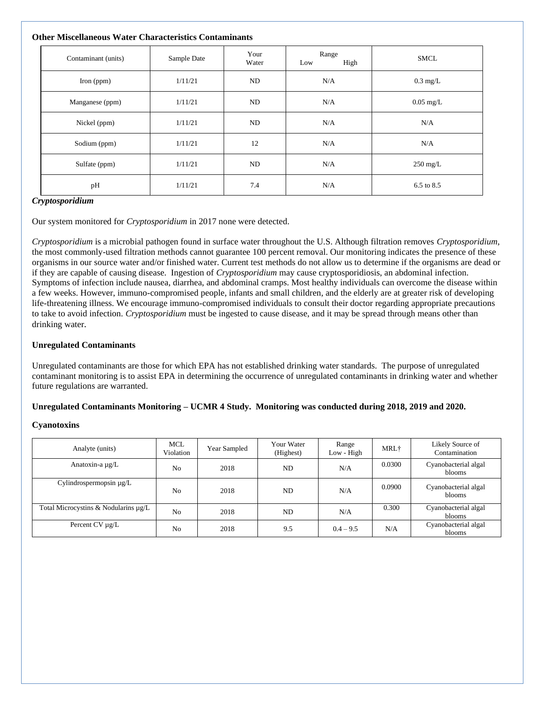### **Other Miscellaneous Water Characteristics Contaminants**

| Contaminant (units) | Sample Date | Your<br>Water | Range<br>High<br>Low | <b>SMCL</b>         |
|---------------------|-------------|---------------|----------------------|---------------------|
| Iron $(ppm)$        | 1/11/21     | ND            | N/A                  | $0.3 \text{ mg/L}$  |
| Manganese (ppm)     | 1/11/21     | ND<br>N/A     |                      | $0.05 \text{ mg/L}$ |
| Nickel (ppm)        | 1/11/21     | ND            | N/A                  | N/A                 |
| Sodium (ppm)        | 1/11/21     | 12            | N/A                  | N/A                 |
| Sulfate (ppm)       | 1/11/21     | ND            | N/A                  | $250 \text{ mg/L}$  |
| pH                  | 1/11/21     | 7.4           | N/A                  | 6.5 to 8.5          |

#### *Cryptosporidium*

Our system monitored for *Cryptosporidium* in 2017 none were detected.

*Cryptosporidium* is a microbial pathogen found in surface water throughout the U.S. Although filtration removes *Cryptosporidium*, the most commonly-used filtration methods cannot guarantee 100 percent removal. Our monitoring indicates the presence of these organisms in our source water and/or finished water. Current test methods do not allow us to determine if the organisms are dead or if they are capable of causing disease. Ingestion of *Cryptosporidium* may cause cryptosporidiosis, an abdominal infection. Symptoms of infection include nausea, diarrhea, and abdominal cramps. Most healthy individuals can overcome the disease within a few weeks. However, immuno-compromised people, infants and small children, and the elderly are at greater risk of developing life-threatening illness. We encourage immuno-compromised individuals to consult their doctor regarding appropriate precautions to take to avoid infection. *Cryptosporidium* must be ingested to cause disease, and it may be spread through means other than drinking water*.*

## **Unregulated Contaminants**

Unregulated contaminants are those for which EPA has not established drinking water standards. The purpose of unregulated contaminant monitoring is to assist EPA in determining the occurrence of unregulated contaminants in drinking water and whether future regulations are warranted.

### **Unregulated Contaminants Monitoring – UCMR 4 Study. Monitoring was conducted during 2018, 2019 and 2020.**

### **Cyanotoxins**

| Analyte (units)                      | <b>MCL</b><br>Violation | Year Sampled | Your Water<br>(Highest) | Range<br>Low - High | MRL+   | Likely Source of<br>Contamination     |
|--------------------------------------|-------------------------|--------------|-------------------------|---------------------|--------|---------------------------------------|
| Anatoxin-a $\mu$ g/L                 | N <sub>0</sub>          | 2018         | <b>ND</b>               | N/A                 | 0.0300 | Cyanobacterial algal<br>blooms        |
| Cylindrospermopsin $\mu$ g/L         | N <sub>o</sub>          | 2018         | <b>ND</b>               | N/A                 | 0.0900 | Cyanobacterial algal<br><b>blooms</b> |
| Total Microcystins & Nodularins µg/L | N <sub>0</sub>          | 2018         | <b>ND</b>               | N/A                 | 0.300  | Cyanobacterial algal<br>blooms        |
| Percent $CV \mu g/L$                 | No                      | 2018         | 9.5                     | $0.4 - 9.5$         | N/A    | Cyanobacterial algal<br>blooms        |